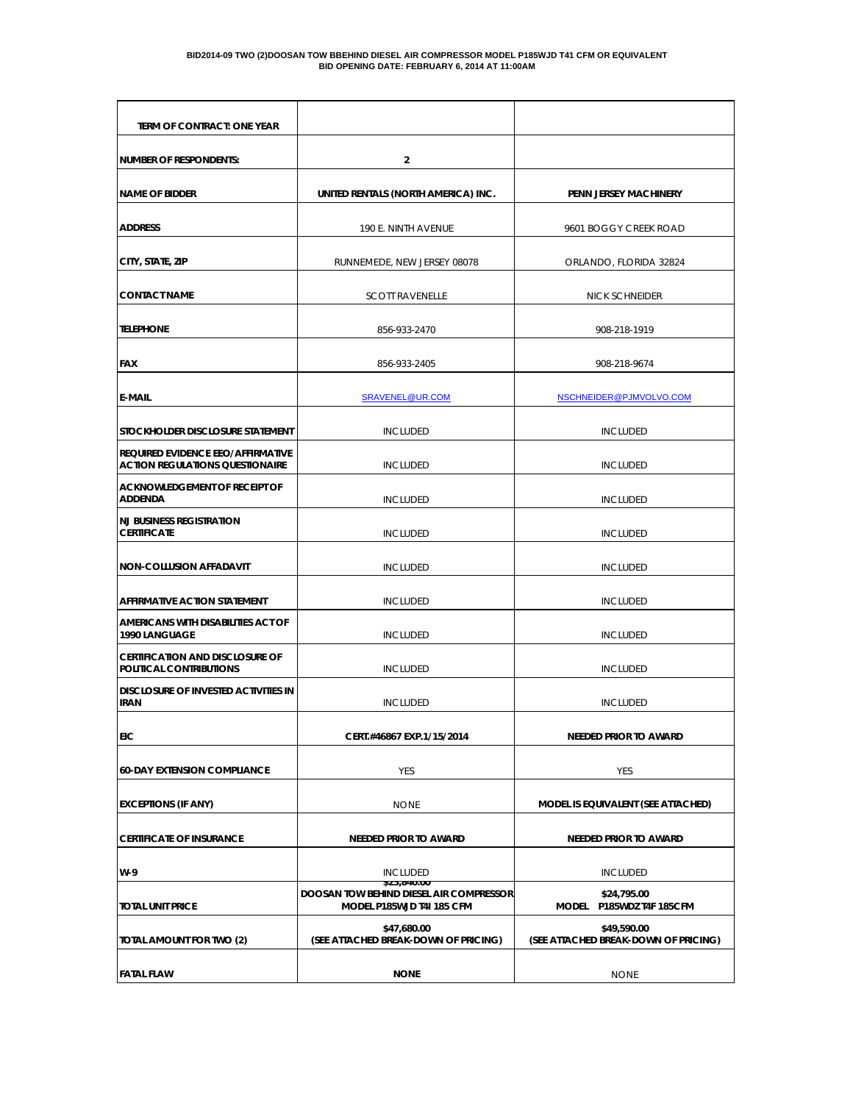#### **BID2014-09 TWO (2)DOOSAN TOW BBEHIND DIESEL AIR COMPRESSOR MODEL P185WJD T41 CFM OR EQUIVALENT BID OPENING DATE: FEBRUARY 6, 2014 AT 11:00AM**

| TERM OF CONTRACT: ONE YEAR                                                         |                                                                                            |                                                     |  |
|------------------------------------------------------------------------------------|--------------------------------------------------------------------------------------------|-----------------------------------------------------|--|
| NUMBER OF RESPONDENTS:                                                             | $\overline{2}$                                                                             |                                                     |  |
| <b>NAME OF BIDDER</b>                                                              | UNITED RENTALS (NORTH AMERICA) INC.                                                        | <b>PENN JERSEY MACHINERY</b>                        |  |
| <b>ADDRESS</b>                                                                     | 190 E. NINTH AVENUE                                                                        | 9601 BOGGY CREEK ROAD                               |  |
| CITY, STATE, ZIP                                                                   | RUNNEMEDE, NEW JERSEY 08078                                                                | ORLANDO, FLORIDA 32824                              |  |
| <b>CONTACT NAME</b>                                                                | <b>SCOTT RAVENELLE</b>                                                                     | <b>NICK SCHNEIDER</b>                               |  |
| <b>TELEPHONE</b>                                                                   | 856-933-2470                                                                               | 908-218-1919                                        |  |
| <b>FAX</b>                                                                         | 856-933-2405                                                                               | 908-218-9674                                        |  |
| <b>E-MAIL</b>                                                                      | SRAVENEL@UR.COM                                                                            | NSCHNEIDER@PJMVOLVO.COM                             |  |
| Istockholder disclosure statement                                                  | <b>INCLUDED</b>                                                                            | <b>INCLUDED</b>                                     |  |
| <b>REQUIRED EVIDENCE EEO/AFFIRMATIVE</b><br><b>ACTION REGULATIONS QUESTIONAIRE</b> | <b>INCLUDED</b>                                                                            | <b>INCLUDED</b>                                     |  |
| acknowledgement of receipt of<br><b>ADDENDA</b>                                    | <b>INCLUDED</b>                                                                            | <b>INCLUDED</b>                                     |  |
| <b>NJ BUSINESS REGISTRATION</b><br><b>CERTIFICATE</b>                              | <b>INCLUDED</b>                                                                            | <b>INCLUDED</b>                                     |  |
| <b>NON-COLLUSION AFFADAVIT</b>                                                     | <b>INCLUDED</b>                                                                            | <b>INCLUDED</b>                                     |  |
| <b>AFFIRMATIVE ACTION STATEMENT</b>                                                | <b>INCLUDED</b>                                                                            | <b>INCLUDED</b>                                     |  |
| AMERICANS WITH DISABILITIES ACT OF<br>1990 LANGUAGE                                | <b>INCLUDED</b>                                                                            | <b>INCLUDED</b>                                     |  |
| CERTIFICATION AND DISCLOSURE OF<br>POLITICAL CONTRIBUTIONS                         | <b>INCLUDED</b>                                                                            | <b>INCLUDED</b>                                     |  |
| idisclosure of invested activities in<br><b>IRAN</b>                               | <b>INCLUDED</b>                                                                            | <b>INCLUDED</b>                                     |  |
| EIC                                                                                | CERT.#46867 EXP.1/15/2014                                                                  | <b>NEEDED PRIOR TO AWARD</b>                        |  |
| <b>60-DAY EXTENSION COMPLIANCE</b>                                                 | YES                                                                                        | YES                                                 |  |
| <b>EXCEPTIONS (IF ANY)</b>                                                         | <b>NONE</b>                                                                                | MODEL IS EQUIVALENT (SEE ATTACHED)                  |  |
| <b>CERTIFICATE OF INSURANCE</b>                                                    | <b>NEEDED PRIOR TO AWARD</b>                                                               | NEEDED PRIOR TO AWARD                               |  |
| $W-9$                                                                              | <b>INCLUDED</b>                                                                            | <b>INCLUDED</b>                                     |  |
| <b>TOTAL UNIT PRICE</b>                                                            | \$23,840.00<br><b>DOOSAN TOW BEHIND DIESEL AIR COMPRESSOR</b><br>MODEL P185WJD T4I 185 CFM | \$24,795.00<br>MODEL P185WDZ T4F 185CFM             |  |
| TOTAL AMOUNT FOR TWO (2)                                                           | \$47,680.00<br>(SEE ATTACHED BREAK-DOWN OF PRICING)                                        | \$49,590.00<br>(SEE ATTACHED BREAK-DOWN OF PRICING) |  |
| <b>FATAL FLAW</b>                                                                  | <b>NONE</b>                                                                                | <b>NONE</b>                                         |  |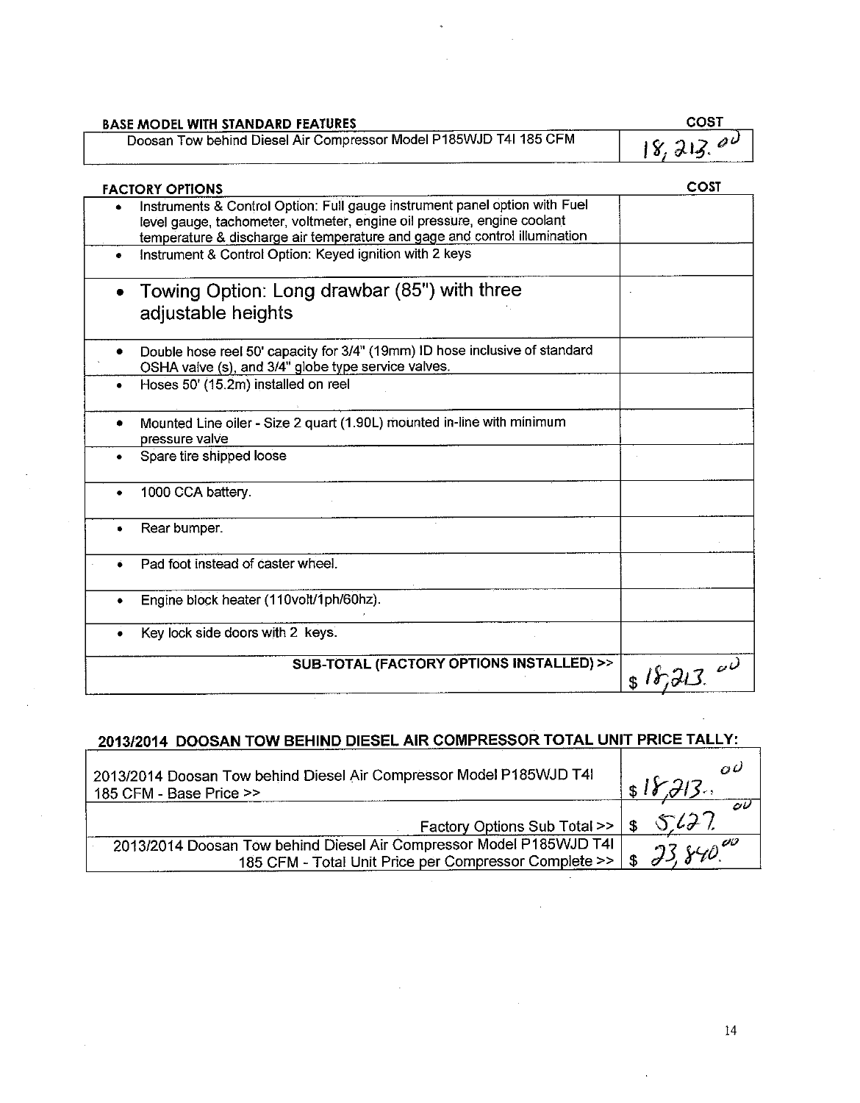| <b>BASE MODEL WITH STANDARD FEATURES</b>                          | COST      |
|-------------------------------------------------------------------|-----------|
| Doosan Tow behind Diesel Air Compressor Model P185WJD T4I 185 CFM | 18, 213.0 |
|                                                                   |           |

| <b>FACTORY OPTIONS</b>                                                                                                                                                                                                             | COST    |
|------------------------------------------------------------------------------------------------------------------------------------------------------------------------------------------------------------------------------------|---------|
| Instruments & Control Option: Full gauge instrument panel option with Fuel<br>level gauge, tachometer, voltmeter, engine oil pressure, engine coolant<br>temperature & discharge air temperature and gage and control illumination |         |
| Instrument & Control Option: Keyed ignition with 2 keys                                                                                                                                                                            |         |
| Towing Option: Long drawbar (85") with three<br>adjustable heights                                                                                                                                                                 |         |
| Double hose reel 50' capacity for 3/4" (19mm) ID hose inclusive of standard<br>OSHA valve (s), and 3/4" globe type service valves.                                                                                                 |         |
| Hoses 50' (15.2m) installed on reel                                                                                                                                                                                                |         |
| Mounted Line oiler - Size 2 quart (1.90L) mounted in-line with minimum<br>pressure valve                                                                                                                                           |         |
| Spare tire shipped loose                                                                                                                                                                                                           |         |
| 1000 CCA battery.                                                                                                                                                                                                                  |         |
| Rear bumper.                                                                                                                                                                                                                       |         |
| Pad foot instead of caster wheel.                                                                                                                                                                                                  |         |
| Engine block heater (110volt/1ph/60hz).                                                                                                                                                                                            |         |
| Key lock side doors with 2 keys.                                                                                                                                                                                                   |         |
| SUB-TOTAL (FACTORY OPTIONS INSTALLED) >>                                                                                                                                                                                           | 818,213 |
|                                                                                                                                                                                                                                    |         |

## 2013/2014 DOOSAN TOW BEHIND DIESEL AIR COMPRESSOR TOTAL UNIT PRICE TALLY:

| 2013/2014 Doosan Tow behind Diesel Air Compressor Model P185WJD T4I<br>185 CFM - Base Price >> | $\alpha\omega$<br>s18.713 |
|------------------------------------------------------------------------------------------------|---------------------------|
|                                                                                                | ov                        |
| Factory Options Sub Total $>>$ $\frac{1}{9}$                                                   | 5127                      |
| 2013/2014 Doosan Tow behind Diesel Air Compressor Model P185WJD T4I                            | $23.840^{00}$             |
| 185 CFM - Total Unit Price per Compressor Complete >>   \$                                     |                           |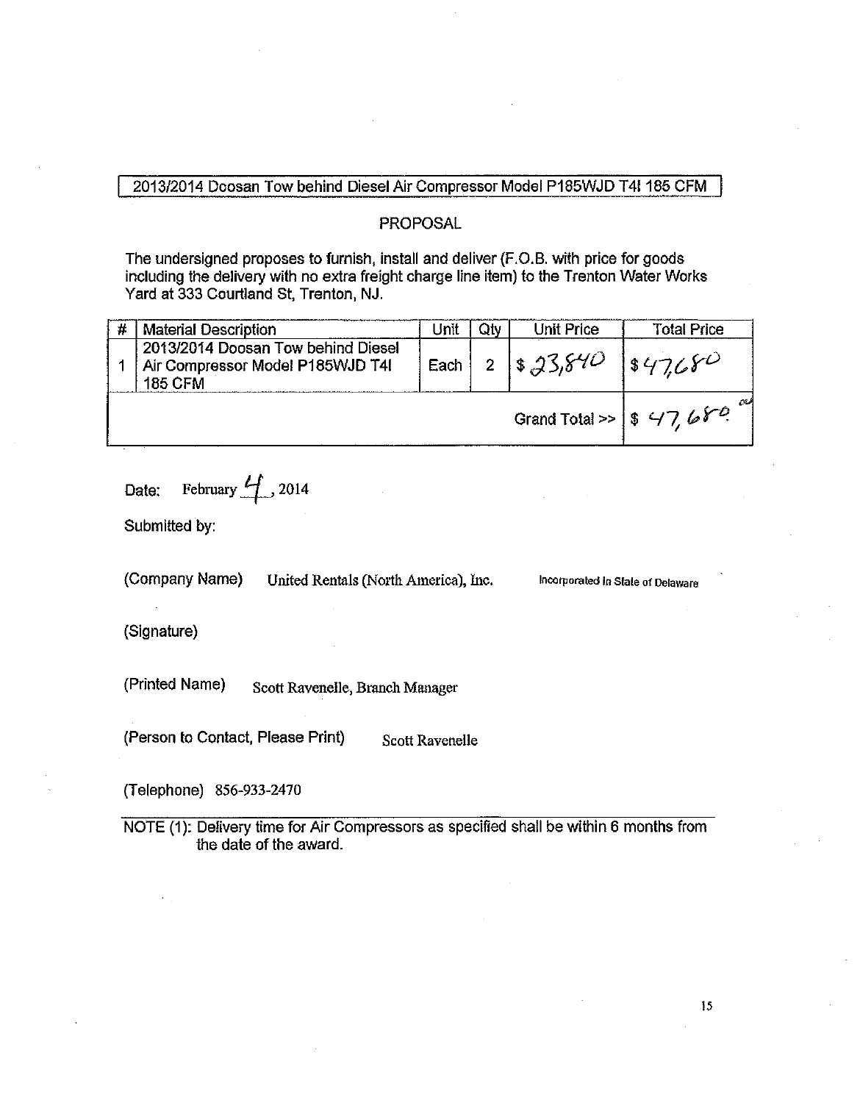### 2013/2014 Doosan Tow behind Diesel Air Compressor Model P185WJD T4I 185 CFM

### **PROPOSAL**

The undersigned proposes to furnish, install and deliver (F.O.B. with price for goods including the delivery with no extra freight charge line item) to the Trenton Water Works Yard at 333 Courtland St. Trenton, NJ.

|  | <b>Material Description</b>                                                              | Jnit | Otv                                              | Unit Price | <b>Total Price</b> |
|--|------------------------------------------------------------------------------------------|------|--------------------------------------------------|------------|--------------------|
|  | 2013/2014 Doosan Tow behind Diesel<br>Air Compressor Model P185WJD T4I<br><b>185 CFM</b> | Each |                                                  | 2 8,23,840 | 1847680            |
|  |                                                                                          |      | Grand Total >> $ $ \$ 47, 6 $\mathcal{F}^{\rho}$ |            |                    |

February  $\mathcal{L}$  2014 Date:

Submitted by:

(Company Name) United Rentals (North America), Inc. Incorporated in State of Delaware

(Signature)

(Printed Name) Scott Ravenelle, Branch Manager

(Person to Contact, Please Print) Scott Ravenelle

(Telephone) 856-933-2470

NOTE (1): Delivery time for Air Compressors as specified shall be within 6 months from the date of the award.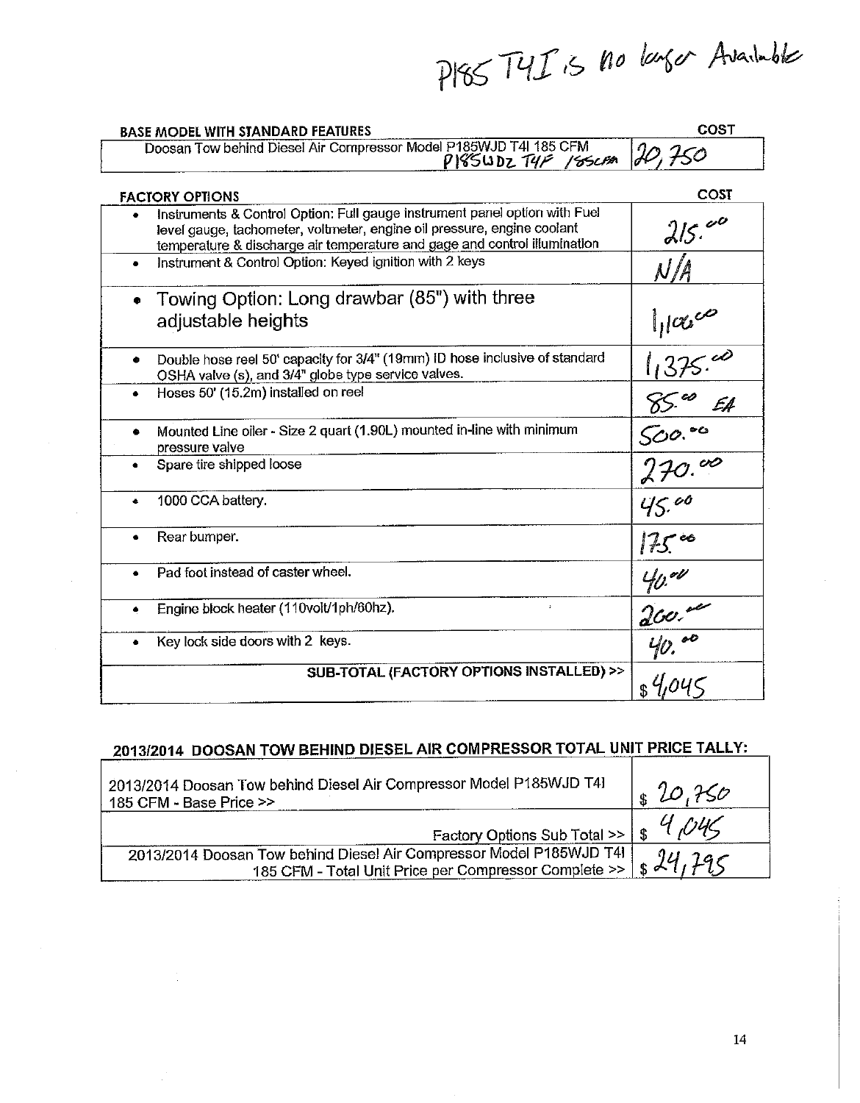PISS TYIS no larger Available

| <b>BASE MODEL WITH STANDARD FEATURES</b>                                                                                                                                                                                           | COST                            |
|------------------------------------------------------------------------------------------------------------------------------------------------------------------------------------------------------------------------------------|---------------------------------|
| Doosan Tow behind Diesel Air Compressor Model P185WJD T4I 185 CFM<br>PISSUDZ T4F 18SCFM                                                                                                                                            | IO, 750                         |
| <b>FACTORY OPTIONS</b>                                                                                                                                                                                                             | COST                            |
| Instruments & Control Option: Full gauge instrument panel option with Fuel<br>level gauge, tachometer, voltmeter, engine oil pressure, engine coolant<br>temperature & discharge air temperature and gage and control illumination | 215.00                          |
| Instrument & Control Option: Keyed ignition with 2 keys<br>$\bullet$                                                                                                                                                               | $\mathcal N/\mathcal A$         |
| Towing Option: Long drawbar (85") with three<br>$\bullet$<br>adjustable heights                                                                                                                                                    | $\frac{11}$<br>$\frac{1}{1375}$ |
| Double hose reel 50' capacity for 3/4" (19mm) ID hose inclusive of standard<br>۰<br>OSHA valve (s), and 3/4" globe type service valves.                                                                                            |                                 |
| Hoses 50' (15.2m) installed on reel                                                                                                                                                                                                | E.A.                            |
| Mounted Line oiler - Size 2 quart (1.90L) mounted in-line with minimum<br>۰<br>pressure valve                                                                                                                                      | $rac{\sqrt{60.06}}{270.00}$     |
| Spare tire shipped loose<br>$\bullet$                                                                                                                                                                                              |                                 |
| 1000 CCA battery.                                                                                                                                                                                                                  | 45.00                           |
| Rear bumper.                                                                                                                                                                                                                       | 175.                            |
| Pad foot instead of caster wheel.<br>$\bullet$                                                                                                                                                                                     |                                 |
| Engine block heater (110volt/1ph/60hz).<br>ý.                                                                                                                                                                                      | $\frac{40.00}{200.00}$          |
| Key lock side doors with 2 keys.                                                                                                                                                                                                   |                                 |
| SUB-TOTAL (FACTORY OPTIONS INSTALLED) >>                                                                                                                                                                                           | \$4.04c                         |

## 2013/2014 DOOSAN TOW BEHIND DIESEL AIR COMPRESSOR TOTAL UNIT PRICE TALLY:

| 2013/2014 Doosan Tow behind Diesel Air Compressor Model P185WJD T41<br>185 CFM - Base Price >>                                            | 20.750 |
|-------------------------------------------------------------------------------------------------------------------------------------------|--------|
| Factory Options Sub Total >>   \$ 4,045                                                                                                   |        |
| 2013/2014 Doosan Tow behind Diesel Air Compressor Model P185WJD T4I<br>185 CFM - Total Unit Price per Compressor Complete >>   \$ 24, 295 |        |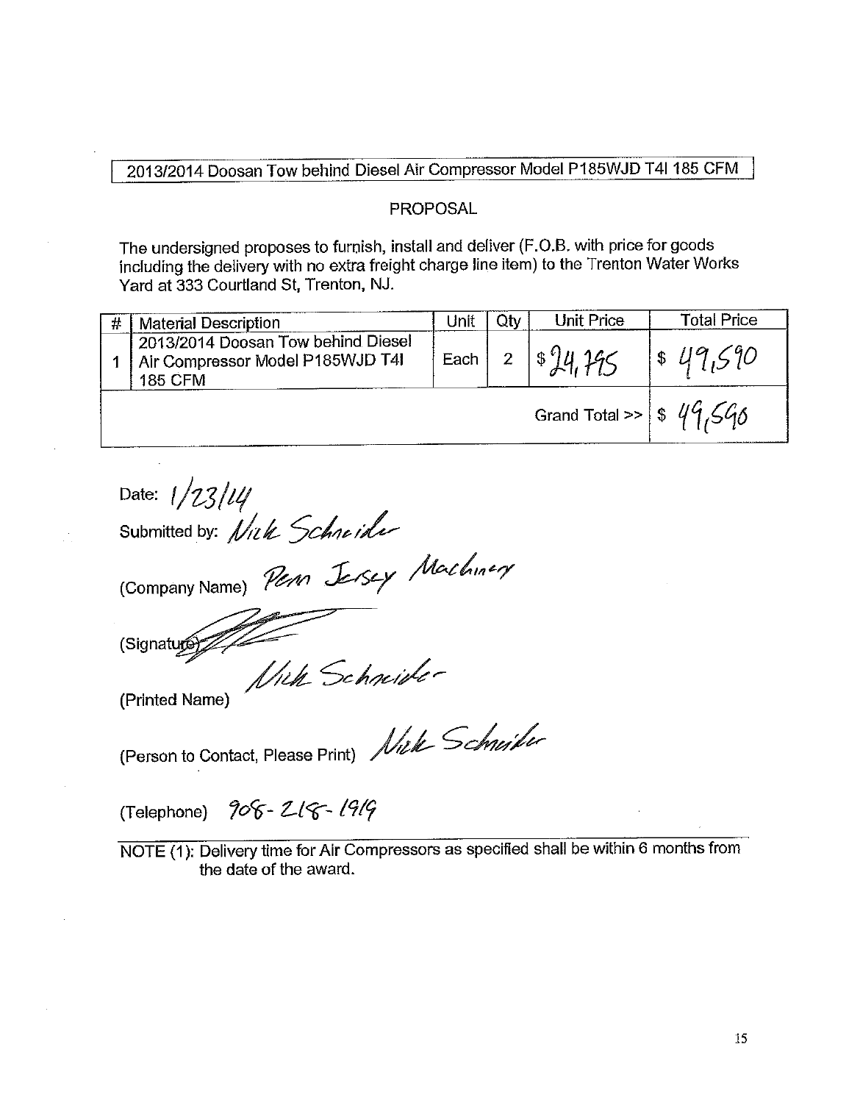### 2013/2014 Doosan Tow behind Diesel Air Compressor Model P185WJD T4I 185 CFM

### **PROPOSAL**

The undersigned proposes to furnish, install and deliver (F.O.B. with price for goods including the delivery with no extra freight charge line item) to the Trenton Water Works Yard at 333 Courtland St, Trenton, NJ.

| <b>Material Description</b>                                                                | Unit     | Qtv | <b>Unit Price</b>                   | <b>Total Price</b> |
|--------------------------------------------------------------------------------------------|----------|-----|-------------------------------------|--------------------|
| 2013/2014 Doosan Tow behind Diesel<br>1 Air Compressor Model P185WJD T4I<br><b>185 CFM</b> | Each $ $ |     | $2   $^{0}$ $  4 196$               | $1$ \$49,590       |
|                                                                                            |          |     | Grand Total >> $\frac{1}{8}$ 49,598 |                    |

Date:  $1/23/14$ Submitted by: Nick Schneider (Company Name) Person Jersey Machinery (Signature Wick Schnider (Printed Name) (Person to Contact, Please Print) Nick Schurcher

(Telephone) 908-218-1919

NOTE (1): Delivery time for Air Compressors as specified shall be within 6 months from the date of the award.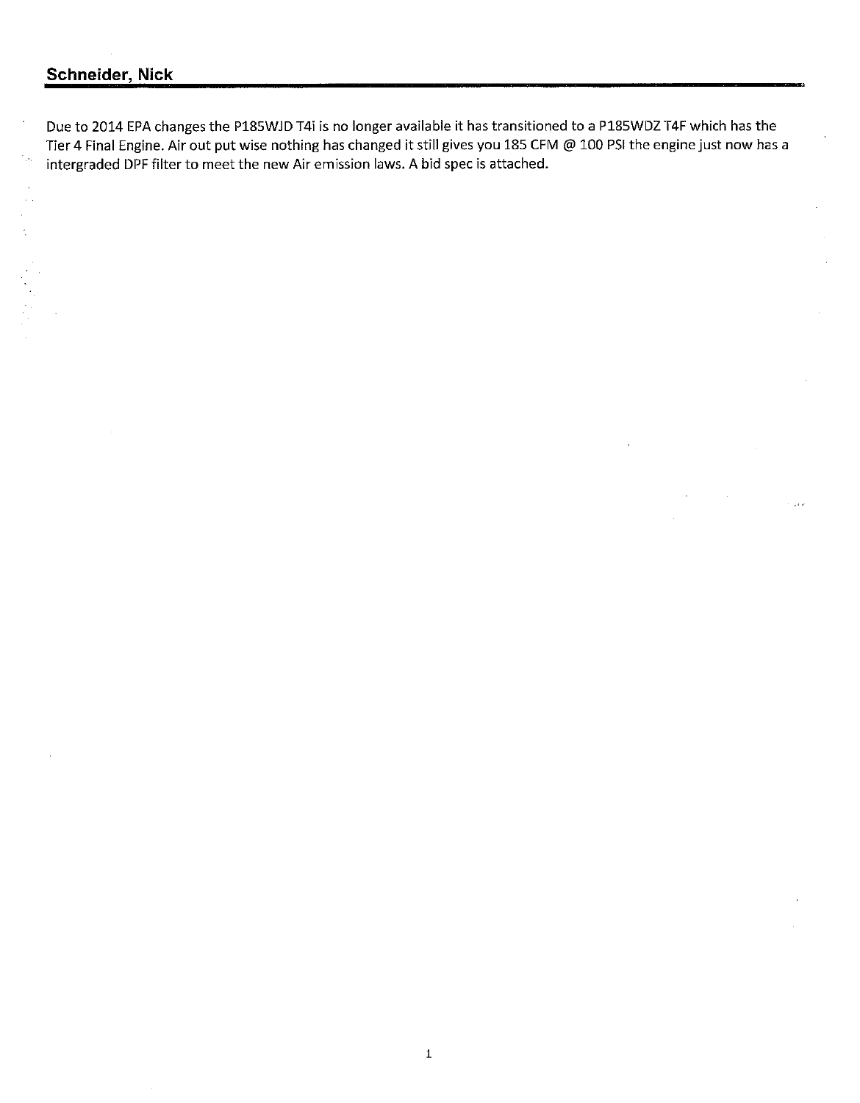## Schneider, Nick

Due to 2014 EPA changes the P185WJD T4i is no longer available it has transitioned to a P185WDZ T4F which has the Tier 4 Final Engine. Air out put wise nothing has changed it still gives you 185 CFM @ 100 PSI the engine just now has a intergraded DPF filter to meet the new Air emission laws. A bid spec is attached.

 $\tau = 1.5$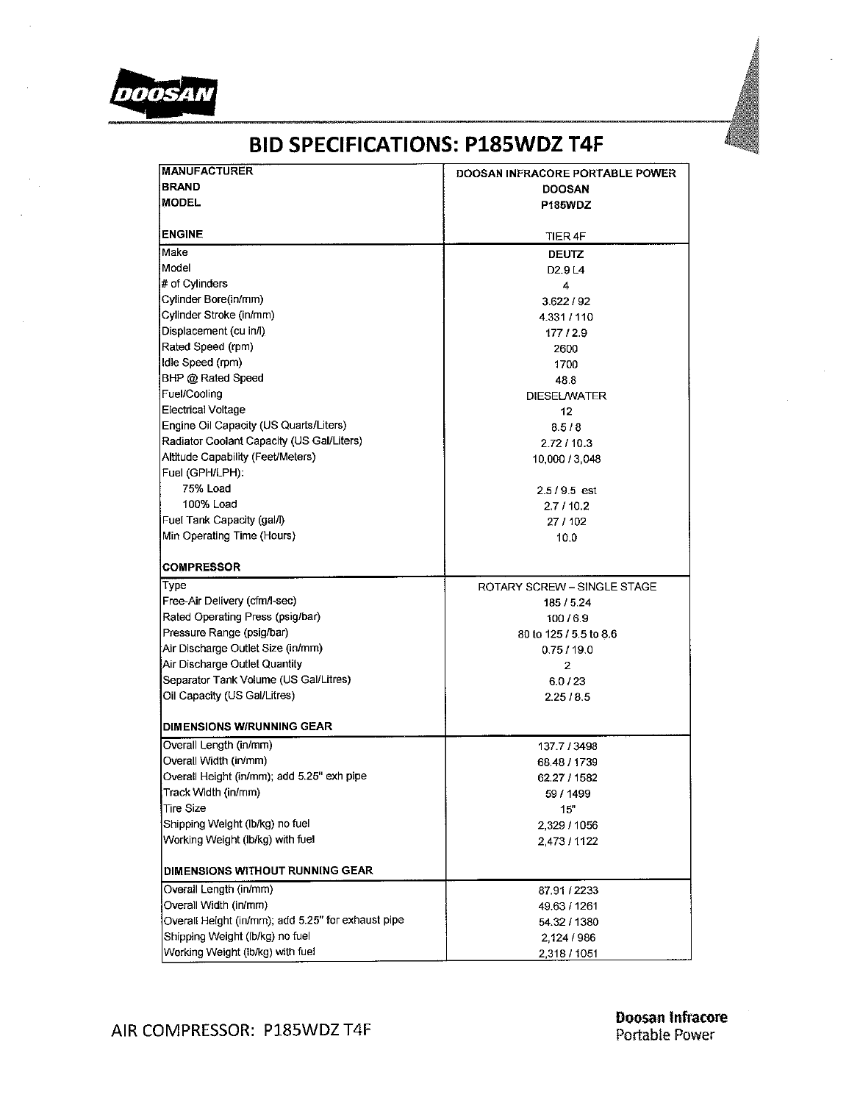

| <b>MANUFACTURER</b>                                | DOOSAN INFRACORE PORTABLE POWER |  |  |  |
|----------------------------------------------------|---------------------------------|--|--|--|
| <b>BRAND</b>                                       | <b>DOOSAN</b>                   |  |  |  |
| <b>MODEL</b>                                       | P185WDZ                         |  |  |  |
|                                                    |                                 |  |  |  |
| <b>ENGINE</b>                                      | TIER 4F                         |  |  |  |
| Make                                               | <b>DEUTZ</b>                    |  |  |  |
| Model                                              | D <sub>2</sub> .9L <sub>4</sub> |  |  |  |
| # of Cylinders                                     | 4                               |  |  |  |
| Cylinder Bore(in/mm)                               | 3.622/92                        |  |  |  |
| Cylinder Stroke (in/mm)                            | 4.331 / 110                     |  |  |  |
| Displacement (cu in/l)                             | 177/2.9                         |  |  |  |
| Rated Speed (rpm)                                  | 2600                            |  |  |  |
| Idle Speed (rpm)                                   | 1700                            |  |  |  |
| BHP @ Rated Speed                                  | 48.8                            |  |  |  |
| Fuel/Cooling                                       | DIESEL/WATER                    |  |  |  |
| <b>Electrical Voltage</b>                          | 12                              |  |  |  |
| Engine Oil Capacity (US Quarts/Liters)             | 8.5/8                           |  |  |  |
| Radiator Coolant Capacity (US Gal/Liters)          | 2.72 / 10.3                     |  |  |  |
| Altitude Capability (Feet/Meters)                  | 10,000 / 3,048                  |  |  |  |
| Fuel (GPH/LPH):                                    |                                 |  |  |  |
| <b>75% Load</b>                                    | $2.5/9.5$ est                   |  |  |  |
| 100% Load                                          | 27/10.2                         |  |  |  |
| Fuel Tank Capacity (gal/l)                         | 27 / 102                        |  |  |  |
| Min Operating Time (Hours)                         | 10.0                            |  |  |  |
|                                                    |                                 |  |  |  |
| <b>COMPRESSOR</b>                                  |                                 |  |  |  |
| Type                                               | ROTARY SCREW - SINGLE STAGE     |  |  |  |
| Free-Air Delivery (cfm/l-sec)                      | 185 / 5.24                      |  |  |  |
| Rated Operating Press (psig/bar)                   | 100/6.9                         |  |  |  |
| Pressure Range (psig/bar)                          | 80 to 125 / 5.5 to 8.6          |  |  |  |
| Air Discharge Outlet Size (in/mm)                  | 0.75/19.0                       |  |  |  |
| Air Discharge Outlet Quantity                      | 2                               |  |  |  |
| Separator Tank Volume (US Gal/Litres)              | 6.0 / 23                        |  |  |  |
| Oil Capacity (US Gal/Litres)                       | 2.25/8.5                        |  |  |  |
|                                                    |                                 |  |  |  |
| <b>DIMENSIONS W/RUNNING GEAR</b>                   |                                 |  |  |  |
| Overall Length (in/mm)                             | 137.7 / 3498                    |  |  |  |
| Overall Width (in/mm)                              | 68.48 / 1739                    |  |  |  |
| Overall Height (in/mm); add 5.25" exh pipe         | 62.27 / 1582                    |  |  |  |
| Track Width (in/mm)                                | 59 / 1499                       |  |  |  |
| Tire Size                                          | 15"                             |  |  |  |
| Shipping Weight (lb/kg) no fuel                    | 2,329 / 1056                    |  |  |  |
| Working Weight (lb/kg) with fuel                   | 2,473 / 1122                    |  |  |  |
|                                                    |                                 |  |  |  |
| DIMENSIONS WITHOUT RUNNING GEAR                    |                                 |  |  |  |
| Overail Length (in/mm)                             | 87.91 / 2233                    |  |  |  |
| Overall Width (in/mm)                              | 49.63 / 1261                    |  |  |  |
| Overall Height (in/mm); add 5.25" for exhaust pipe | 54.32 / 1380                    |  |  |  |
| Shipping Weight (lb/kg) no fuel                    | 2,124 / 986                     |  |  |  |
| Working Weight (lb/kg) with fuel                   | 2,318 / 1051                    |  |  |  |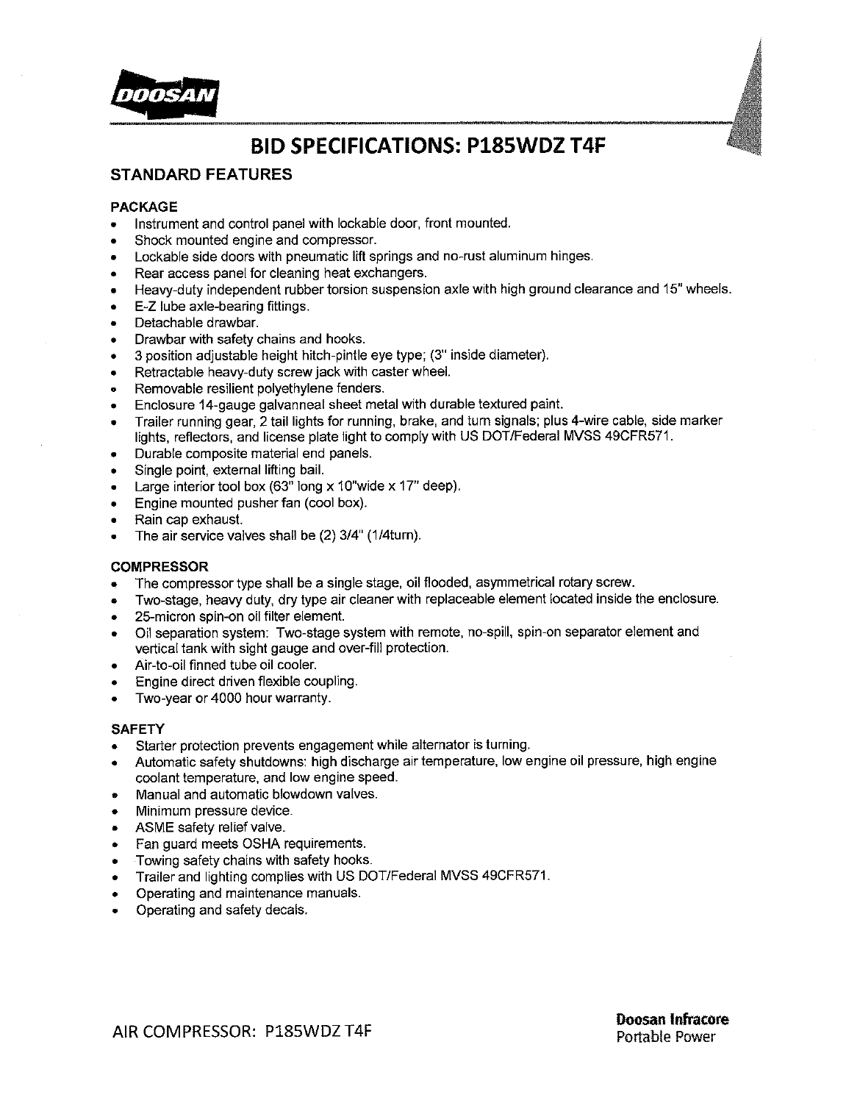

### **STANDARD FEATURES**

### **PACKAGE**

- Instrument and control panel with lockable door, front mounted.  $\bullet$
- Shock mounted engine and compressor.
- Lockable side doors with pneumatic lift springs and no-rust aluminum hinges.
- Rear access panel for cleaning heat exchangers.
- Heavy-duty independent rubber torsion suspension axle with high ground clearance and 15" wheels.
- E-Z lube axle-bearing fittings.
- Detachable drawbar.
- Drawbar with safety chains and hooks.
- 3 position adjustable height hitch-pintle eye type; (3" inside diameter).
- Retractable heavy-duty screw jack with caster wheel.
- Removable resilient polyethylene fenders.
- Enclosure 14-gauge galvanneal sheet metal with durable textured paint.
- Trailer running gear, 2 tail lights for running, brake, and turn signals; plus 4-wire cable, side marker lights, reflectors, and license plate light to comply with US DOT/Federal MVSS 49CFR571.
- Durable composite material end panels.
- Single point, external lifting bail.
- Large interior tool box  $(63)$ <sup>r</sup> long x 10"wide x 17" deep).
- Engine mounted pusher fan (cool box).
- Rain cap exhaust.
- The air service valves shall be (2) 3/4" (1/4turn).  $\bullet$

### **COMPRESSOR**

- The compressor type shall be a single stage, oil flooded, asymmetrical rotary screw.  $\bullet$
- Two-stage, heavy duty, dry type air cleaner with replaceable element located inside the enclosure.
- 25-micron spin-on oil filter element.
- Oil separation system: Two-stage system with remote, no-spill, spin-on separator element and vertical tank with sight gauge and over-fill protection.
- Air-to-oil finned tube oil cooler.
- Engine direct driven flexible coupling.
- Two-year or 4000 hour warranty.  $\bullet$

#### **SAFETY**

- Starter protection prevents engagement while alternator is turning.  $\bullet$
- Automatic safety shutdowns: high discharge air temperature, low engine oil pressure, high engine coolant temperature, and low engine speed.
- Manual and automatic blowdown valves.
- Minimum pressure device.
- ASME safety relief valve.
- Fan guard meets OSHA requirements.  $\bullet$
- Towing safety chains with safety hooks.
- Trailer and lighting complies with US DOT/Federal MVSS 49CFR571.
- Operating and maintenance manuals.
- Operating and safety decals.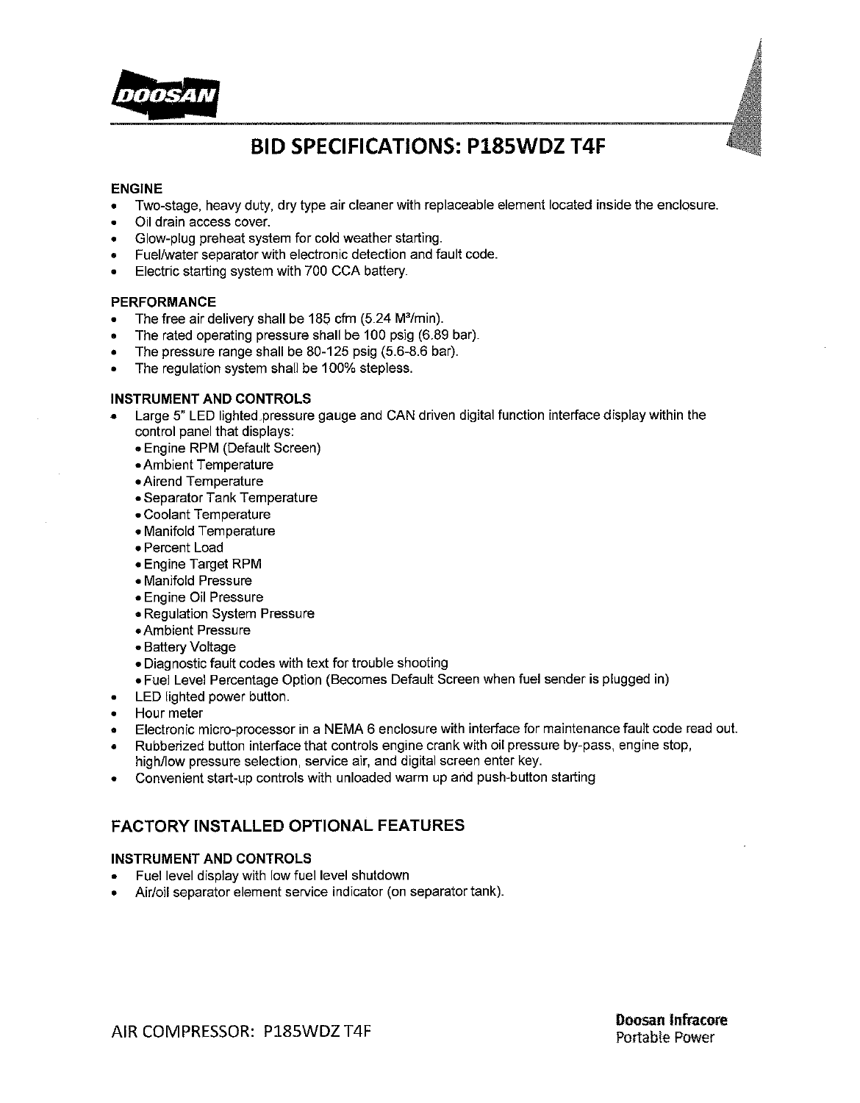

#### **ENGINE**

- Two-stage, heavy duty, dry type air cleaner with replaceable element located inside the enclosure.
- Oil drain access cover.
- Glow-plug preheat system for cold weather starting.
- Fuel/water separator with electronic detection and fault code.
- Electric starting system with 700 CCA battery.  $\bullet$

#### **PERFORMANCE**

- The free air delivery shall be 185 cfm (5.24 M<sup>3</sup>/min).  $\bullet$
- The rated operating pressure shall be 100 psig (6.89 bar).
- The pressure range shall be 80-125 psig (5.6-8.6 bar).
- The regulation system shall be 100% stepless.

### **INSTRUMENT AND CONTROLS**

- Large 5" LED lighted pressure gauge and CAN driven digital function interface display within the control panel that displays:
	- Engine RPM (Default Screen)
	- Ambient Temperature
	- Airend Temperature
	- Separator Tank Temperature
	- Coolant Temperature
	- Manifold Temperature
	- Percent Load
	- Engine Target RPM
	- Manifold Pressure
	- Engine Oil Pressure
	- Regulation System Pressure
	- Ambient Pressure
	- Battery Voltage
	- . Diagnostic fault codes with text for trouble shooting
	- . Fuel Level Percentage Option (Becomes Default Screen when fuel sender is plugged in)
- LED lighted power button.
- Hour meter
- Electronic micro-processor in a NEMA 6 enclosure with interface for maintenance fault code read out.
- Rubberized button interface that controls engine crank with oil pressure by-pass, engine stop, high/low pressure selection, service air, and digital screen enter key.
- Convenient start-up controls with unloaded warm up and push-button starting

### **FACTORY INSTALLED OPTIONAL FEATURES**

### **INSTRUMENT AND CONTROLS**

- Fuel level display with low fuel level shutdown
- Air/oil separator element service indicator (on separator tank).

AIR COMPRESSOR: P185WDZ T4F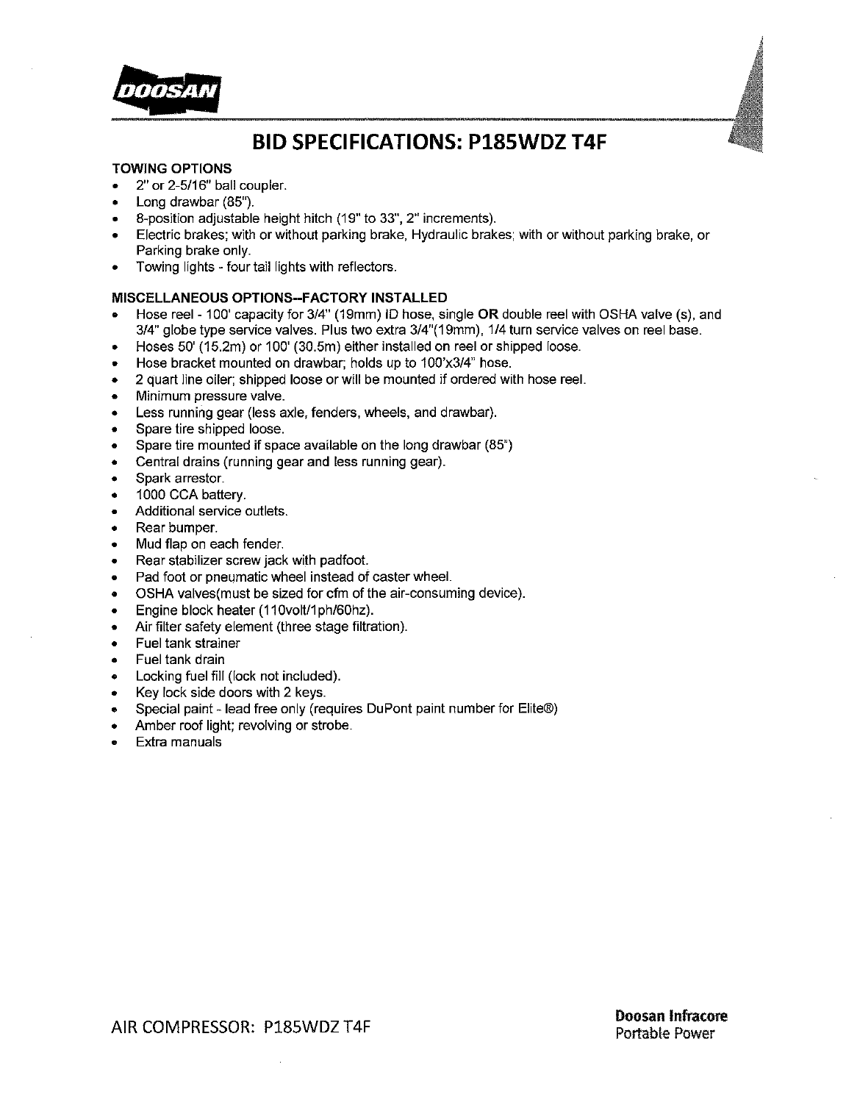

#### **TOWING OPTIONS**

- 2" or 2-5/16" ball coupler.
- Long drawbar (85").
- 8-position adjustable height hitch (19" to 33", 2" increments).
- Electric brakes; with or without parking brake, Hydraulic brakes; with or without parking brake, or Parking brake only.
- Towing lights four tail lights with reflectors.  $\bullet$

### MISCELLANEOUS OPTIONS--FACTORY INSTALLED

- Hose reel 100' capacity for 3/4" (19mm) ID hose, single OR double reel with OSHA valve (s), and 3/4" globe type service valves. Plus two extra 3/4"(19mm), 1/4 turn service valves on reel base.
- Hoses 50' (15.2m) or 100' (30.5m) either installed on reel or shipped loose.  $\bullet$
- Hose bracket mounted on drawbar; holds up to 100'x3/4" hose.  $\bullet$
- 2 quart line oiler: shipped loose or will be mounted if ordered with hose reel.  $\bullet$
- Minimum pressure valve.  $\bullet$
- Less running gear (less axle, fenders, wheels, and drawbar).
- Spare tire shipped loose.  $\bullet$
- Spare tire mounted if space available on the long drawbar (85")
- Central drains (running gear and less running gear).  $\bullet$
- Spark arrestor.
- 1000 CCA battery.  $\bullet$
- Additional service outlets.
- Rear bumper.
- Mud flap on each fender.
- Rear stabilizer screw jack with padfoot.
- Pad foot or pneumatic wheel instead of caster wheel.
- OSHA valves (must be sized for cfm of the air-consuming device).  $\bullet$
- Engine block heater (110volt/1ph/60hz).
- Air filter safety element (three stage filtration).  $\bullet$
- Fuel tank strainer  $\bullet$
- Fuel tank drain
- Locking fuel fill (lock not included).
- Key lock side doors with 2 keys.
- Special paint lead free only (requires DuPont paint number for Elite®)
- Amber roof light; revolving or strobe.
- Extra manuals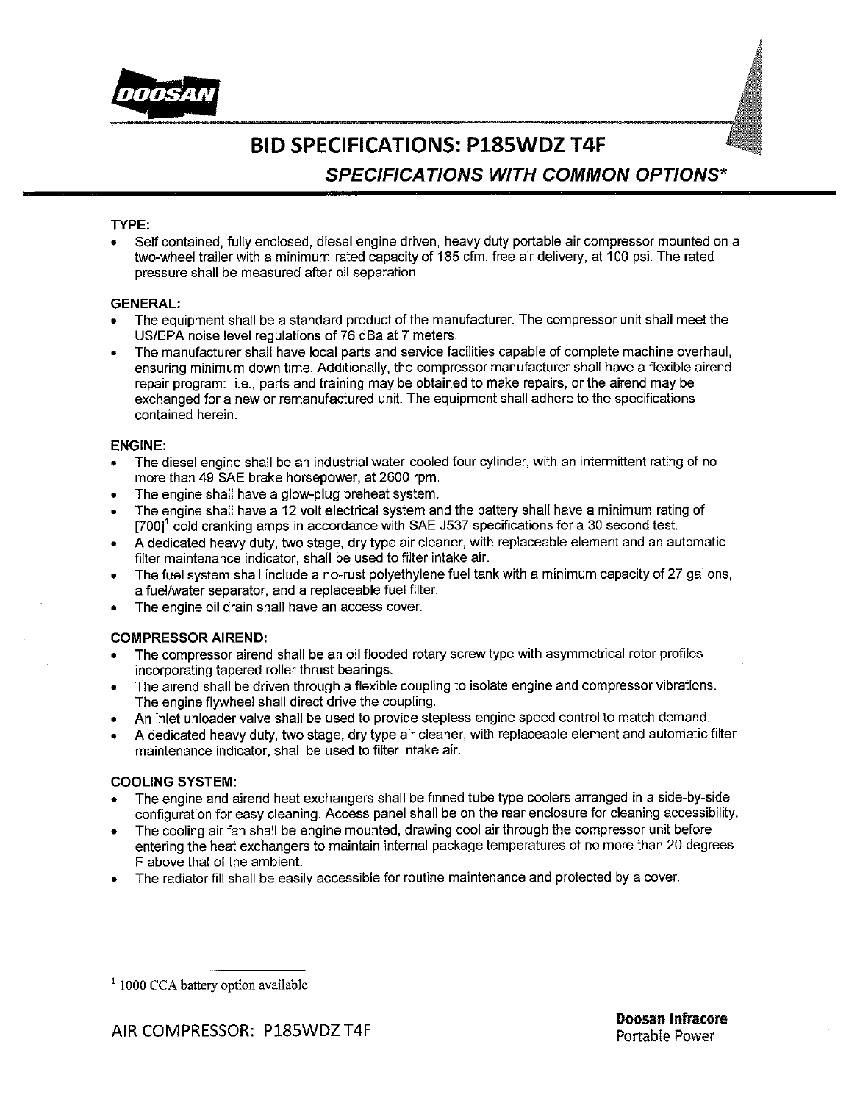



# **BID SPECIFICATIONS: P185WDZ T4F SPECIFICATIONS WITH COMMON OPTIONS\***

### TYPE:

Self contained, fully enclosed, diesel engine driven, heavy duty portable air compressor mounted on a two-wheel trailer with a minimum rated capacity of 185 cfm, free air delivery, at 100 psi. The rated pressure shall be measured after oil separation.

### **GENERAL:**

- The equipment shall be a standard product of the manufacturer. The compressor unit shall meet the US/EPA noise level regulations of 76 dBa at 7 meters.
- The manufacturer shall have local parts and service facilities capable of complete machine overhaul. ensuring minimum down time. Additionally, the compressor manufacturer shall have a flexible airend repair program: i.e., parts and training may be obtained to make repairs, or the airend may be exchanged for a new or remanufactured unit. The equipment shall adhere to the specifications contained herein.

### **ENGINE:**

- The diesel engine shall be an industrial water-cooled four cylinder, with an intermittent rating of no more than 49 SAE brake horsepower, at 2600 rpm.
- The engine shall have a glow-plug preheat system.
- The engine shall have a 12 volt electrical system and the battery shall have a minimum rating of  $[700]$ <sup>1</sup> cold cranking amps in accordance with SAE J537 specifications for a 30 second test.
- A dedicated heavy duty, two stage, dry type air cleaner, with replaceable element and an automatic filter maintenance indicator, shall be used to filter intake air.
- The fuel system shall include a no-rust polyethylene fuel tank with a minimum capacity of 27 gallons. a fuel/water separator, and a replaceable fuel filter.
- The engine oil drain shall have an access cover.

### **COMPRESSOR AIREND:**

- The compressor airend shall be an oil flooded rotary screw type with asymmetrical rotor profiles incorporating tapered roller thrust bearings.
- The airend shall be driven through a flexible coupling to isolate engine and compressor vibrations. The engine flywheel shall direct drive the coupling.
- An inlet unloader valve shall be used to provide stepless engine speed control to match demand.
- A dedicated heavy duty, two stage, dry type air cleaner, with replaceable element and automatic filter maintenance indicator, shall be used to filter intake air.

### **COOLING SYSTEM:**

- The engine and airend heat exchangers shall be finned tube type coolers arranged in a side-by-side configuration for easy cleaning. Access panel shall be on the rear enclosure for cleaning accessibility.
- The cooling air fan shall be engine mounted, drawing cool air through the compressor unit before entering the heat exchangers to maintain internal package temperatures of no more than 20 degrees F above that of the ambient.
- The radiator fill shall be easily accessible for routine maintenance and protected by a cover.

 $1000$  CCA battery option available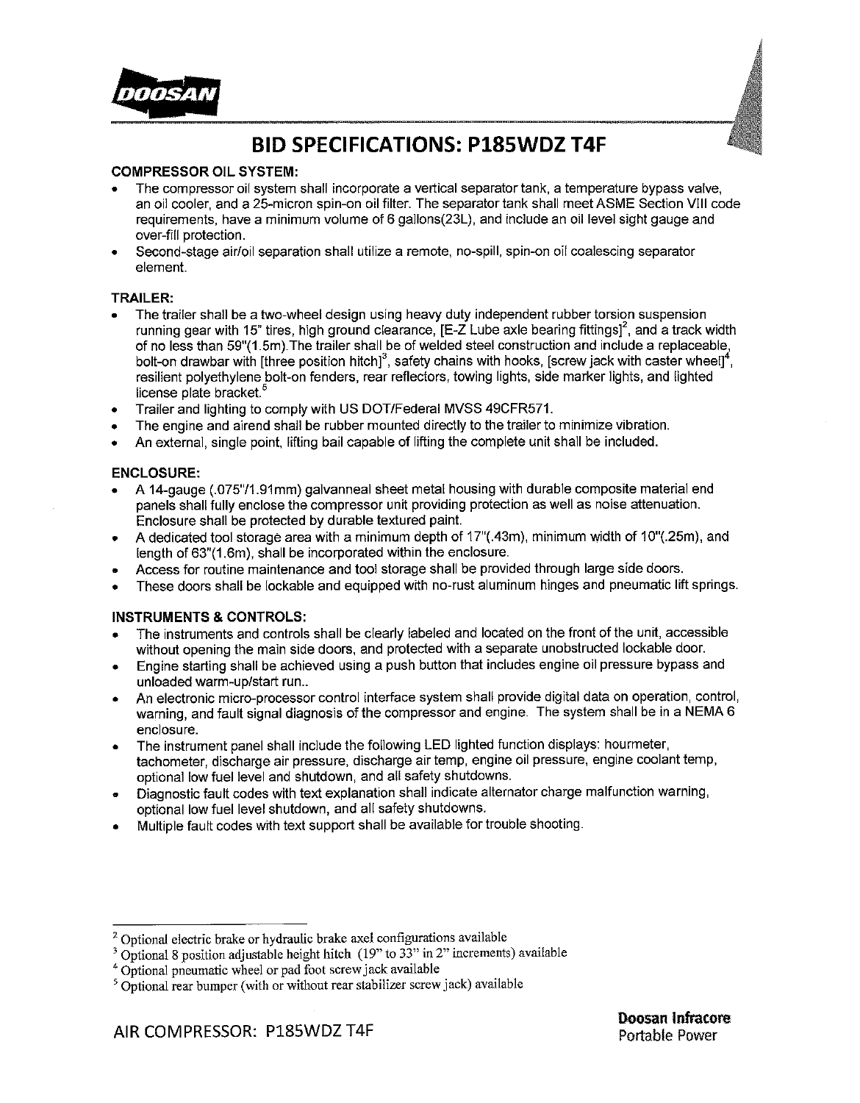

### **COMPRESSOR OIL SYSTEM:**

- The compressor oil system shall incorporate a vertical separator tank, a temperature bypass valve. an oil cooler, and a 25-micron spin-on oil filter. The separator tank shall meet ASME Section VIII code requirements, have a minimum volume of 6 gallons(23L), and include an oil level sight gauge and over-fill protection.
- Second-stage air/oil separation shall utilize a remote, no-spill, spin-on oil coalescing separator element.

### **TRAILER:**

- The trailer shall be a two-wheel design using heavy duty independent rubber torsion suspension running gear with 15" tires, high ground clearance. IE-Z Lube axle bearing fittings<sup>12</sup>, and a track width of no less than 59"(1.5m). The trailer shall be of welded steel construction and include a replaceable,<br>bolt-on drawbar with [three position hitch]<sup>3</sup>, safety chains with hooks, [screw jack with caster wheel]<sup>4</sup>, resilient polyethylene bolt-on fenders, rear reflectors, towing lights, side marker lights, and lighted license plate bracket.<sup>5</sup>
- Trailer and lighting to comply with US DOT/Federal MVSS 49CFR571.
- The engine and airend shall be rubber mounted directly to the trailer to minimize vibration.
- An external, single point, lifting bail capable of lifting the complete unit shall be included.

### **ENCLOSURE:**

- A 14-gauge (.075"/1.91mm) galvanneal sheet metal housing with durable composite material end panels shall fully enclose the compressor unit providing protection as well as noise attenuation. Enclosure shall be protected by durable textured paint.
- A dedicated tool storage area with a minimum depth of 17"(.43m), minimum width of 10"(.25m), and  $\bullet$ length of 63"(1.6m), shall be incorporated within the enclosure.
- Access for routine maintenance and tool storage shall be provided through large side doors.
- These doors shall be lockable and equipped with no-rust aluminum hinges and pneumatic lift springs.

### **INSTRUMENTS & CONTROLS:**

- The instruments and controls shall be clearly labeled and located on the front of the unit, accessible without opening the main side doors, and protected with a separate unobstructed lockable door.
- Engine starting shall be achieved using a push button that includes engine oil pressure bypass and unloaded warm-up/start run...
- An electronic micro-processor control interface system shall provide digital data on operation, control, warning, and fault signal diagnosis of the compressor and engine. The system shall be in a NEMA 6 enclosure.
- The instrument panel shall include the following LED lighted function displays: hourmeter, tachometer, discharge air pressure, discharge air temp, engine oil pressure, engine coolant temp. optional low fuel level and shutdown, and all safety shutdowns.
- Diagnostic fault codes with text explanation shall indicate alternator charge malfunction warning, optional low fuel level shutdown, and all safety shutdowns.
- Multiple fault codes with text support shall be available for trouble shooting.

<sup>&</sup>lt;sup>2</sup> Optional electric brake or hydraulic brake axel configurations available

 $3$  Optional 8 position adjustable height hitch (19" to 33" in 2" increments) available

<sup>&</sup>lt;sup>4</sup> Optional pneumatic wheel or pad foot screw jack available

<sup>&</sup>lt;sup>5</sup> Optional rear bumper (with or without rear stabilizer screw jack) available